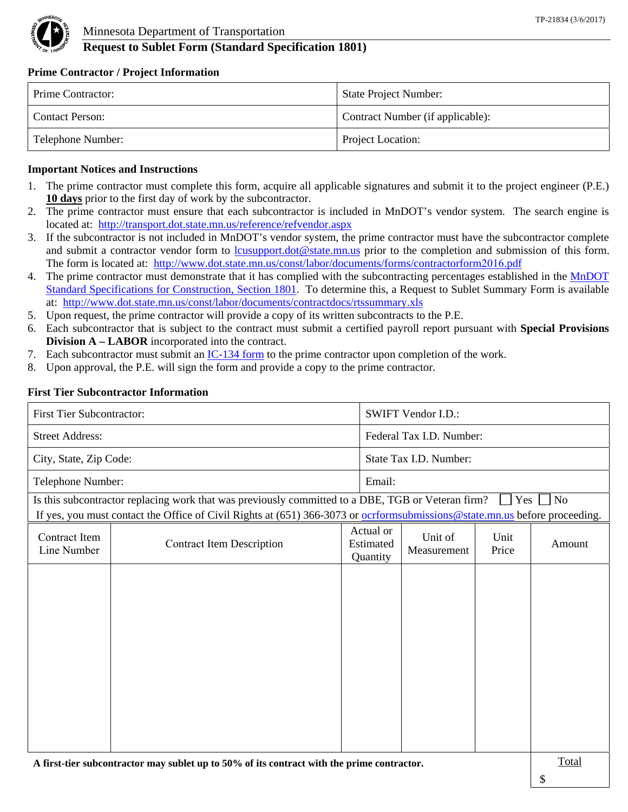

# **Request to Sublet Form (Standard Specification 1801)**

#### **Prime Contractor / Project Information**

| Prime Contractor: | <b>State Project Number:</b>     |
|-------------------|----------------------------------|
| Contact Person:   | Contract Number (if applicable): |
| Telephone Number: | Project Location:                |

### **Important Notices and Instructions**

- 1. The prime contractor must complete this form, acquire all applicable signatures and submit it to the project engineer (P.E.) **10 days** prior to the first day of work by the subcontractor.
- 2. The prime contractor must ensure that each subcontractor is included in MnDOT's vendor system. The search engine is located at: http://transport.dot.state.mn.us/reference/refvendor.aspx
- 3. If the subcontractor is not included in MnDOT's vendor system, the prime contractor must have the subcontractor complete and submit a contractor vendor form to lcusupport.dot@state.mn.us prior to the completion and submission of this form. The form is located at: http://www.dot.state.mn.us/const/labor/documents/forms/contractorform2016.pdf
- 4. The prime contractor must demonstrate that it has complied with the subcontracting percentages established in the [MnDOT](http://www.dot.state.mn.us/pre-letting/spec/2016/2016specbook.pdf) [Standard Specifications for Construction, Section 1801](http://www.dot.state.mn.us/pre-letting/spec/2016/2016specbook.pdf). To determine this, a Request to Sublet Summary Form is available at: http://www.dot.state.mn.us/const/labor/documents/contractdocs/rtssummary.xls
- 5. Upon request, the prime contractor will provide a copy of its written subcontracts to the P.E.
- 6. Each subcontractor that is subject to the contract must submit a certified payroll report pursuant with **Special Provisions Division A – LABOR** incorporated into the contract.
- 7. Each subcontractor must submit an  $IC-134$  form to the prime contractor upon completion of the work.
- 8. Upon approval, the P.E. will sign the form and provide a copy to the prime contractor.

### **First Tier Subcontractor Information**

| <b>First Tier Subcontractor:</b> |                                                                                                                                                                                                                                          |                        |                                    | <b>SWIFT Vendor I.D.:</b> |               |           |
|----------------------------------|------------------------------------------------------------------------------------------------------------------------------------------------------------------------------------------------------------------------------------------|------------------------|------------------------------------|---------------------------|---------------|-----------|
| <b>Street Address:</b>           |                                                                                                                                                                                                                                          |                        | Federal Tax I.D. Number:           |                           |               |           |
| City, State, Zip Code:           |                                                                                                                                                                                                                                          | State Tax I.D. Number: |                                    |                           |               |           |
| Telephone Number:                |                                                                                                                                                                                                                                          |                        | Email:                             |                           |               |           |
|                                  | Is this subcontractor replacing work that was previously committed to a DBE, TGB or Veteran firm?<br>If yes, you must contact the Office of Civil Rights at $(651)$ 366-3073 or <u>ocrformsubmissions@state.mn.us</u> before proceeding. |                        |                                    |                           | Yes           | $\Box$ No |
| Contract Item<br>Line Number     | <b>Contract Item Description</b>                                                                                                                                                                                                         |                        | Actual or<br>Estimated<br>Quantity | Unit of<br>Measurement    | Unit<br>Price | Amount    |
|                                  |                                                                                                                                                                                                                                          |                        |                                    |                           |               |           |
|                                  |                                                                                                                                                                                                                                          |                        |                                    |                           |               |           |
|                                  |                                                                                                                                                                                                                                          |                        |                                    |                           |               |           |
|                                  |                                                                                                                                                                                                                                          |                        |                                    |                           |               |           |
|                                  |                                                                                                                                                                                                                                          |                        |                                    |                           |               |           |
|                                  |                                                                                                                                                                                                                                          |                        |                                    |                           |               |           |

A first-tier subcontractor may sublet up to 50% of its contract with the prime contractor.

\$